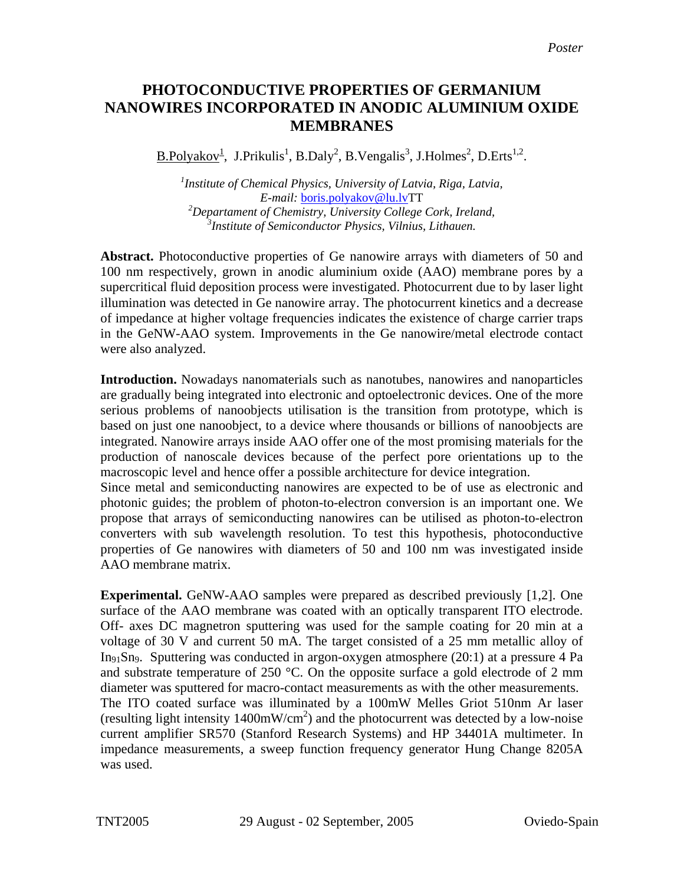## **PHOTOCONDUCTIVE PROPERTIES OF GERMANIUM NANOWIRES INCORPORATED IN ANODIC ALUMINIUM OXIDE MEMBRANES**

 $\underline{B.Polyakov}^1$ , J.Prikulis<sup>1</sup>, B.Daly<sup>2</sup>, B.Vengalis<sup>3</sup>, J.Holmes<sup>2</sup>, D.Erts<sup>1,2</sup>.

 *Institute of Chemical Physics, University of Latvia, Riga, Latvia, E-mail:* [boris.polyakov@lu.lvTT](mailto:boris.polyakov@lu.lv) *Departament of Chemistry, University College Cork, Ireland, Institute of Semiconductor Physics, Vilnius, Lithauen.*

**Abstract.** Photoconductive properties of Ge nanowire arrays with diameters of 50 and 100 nm respectively, grown in anodic aluminium oxide (AAO) membrane pores by a supercritical fluid deposition process were investigated. Photocurrent due to by laser light illumination was detected in Ge nanowire array. The photocurrent kinetics and a decrease of impedance at higher voltage frequencies indicates the existence of charge carrier traps in the GeNW-AAO system. Improvements in the Ge nanowire/metal electrode contact were also analyzed.

**Introduction.** Nowadays nanomaterials such as nanotubes, nanowires and nanoparticles are gradually being integrated into electronic and optoelectronic devices. One of the more serious problems of nanoobjects utilisation is the transition from prototype, which is based on just one nanoobject, to a device where thousands or billions of nanoobjects are integrated. Nanowire arrays inside AAO offer one of the most promising materials for the production of nanoscale devices because of the perfect pore orientations up to the macroscopic level and hence offer a possible architecture for device integration.

Since metal and semiconducting nanowires are expected to be of use as electronic and photonic guides; the problem of photon-to-electron conversion is an important one. We propose that arrays of semiconducting nanowires can be utilised as photon-to-electron converters with sub wavelength resolution. To test this hypothesis, photoconductive properties of Ge nanowires with diameters of 50 and 100 nm was investigated inside AAO membrane matrix.

**Experimental.** GeNW-AAO samples were prepared as described previously [1,2]. One surface of the AAO membrane was coated with an optically transparent ITO electrode. Off- axes DC magnetron sputtering was used for the sample coating for 20 min at a voltage of 30 V and current 50 mA. The target consisted of a 25 mm metallic alloy of In91Sn9. Sputtering was conducted in argon-oxygen atmosphere (20:1) at a pressure 4 Pa and substrate temperature of 250 °C. On the opposite surface a gold electrode of 2 mm diameter was sputtered for macro-contact measurements as with the other measurements. The ITO coated surface was illuminated by a 100mW Melles Griot 510nm Ar laser (resulting light intensity  $1400 \text{mW/cm}^2$ ) and the photocurrent was detected by a low-noise current amplifier SR570 (Stanford Research Systems) and HP 34401A multimeter. In impedance measurements, a sweep function frequency generator Hung Change 8205A was used.